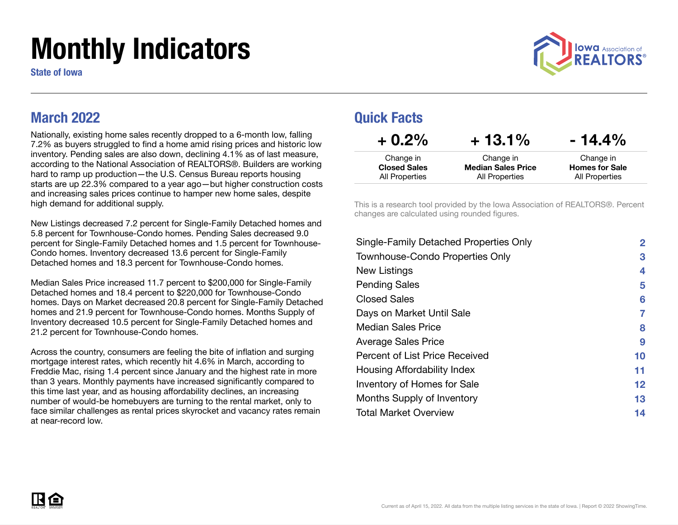# Monthly Indicators

State of Iowa



#### March 2022

Nationally, existing home sales recently dropped to a 6-month low, falling 7.2% as buyers struggled to find a home amid rising prices and historic low inventory. Pending sales are also down, declining 4.1% as of last measure, according to the National Association of REALTORS®. Builders are working hard to ramp up production—the U.S. Census Bureau reports housing starts are up 22.3% compared to a year ago—but higher construction costs and increasing sales prices continue to hamper new home sales, despite high demand for additional supply.

New Listings decreased 7.2 percent for Single-Family Detached homes and 5.8 percent for Townhouse-Condo homes. Pending Sales decreased 9.0 percent for Single-Family Detached homes and 1.5 percent for Townhouse-Condo homes. Inventory decreased 13.6 percent for Single-Family Detached homes and 18.3 percent for Townhouse-Condo homes.

Median Sales Price increased 11.7 percent to \$200,000 for Single-Family Detached homes and 18.4 percent to \$220,000 for Townhouse-Condo homes. Days on Market decreased 20.8 percent for Single-Family Detached homes and 21.9 percent for Townhouse-Condo homes. Months Supply of Inventory decreased 10.5 percent for Single-Family Detached homes and 21.2 percent for Townhouse-Condo homes.

Across the country, consumers are feeling the bite of inflation and surging mortgage interest rates, which recently hit 4.6% in March, according to Freddie Mac, rising 1.4 percent since January and the highest rate in more than 3 years. Monthly payments have increased significantly compared to this time last year, and as housing affordability declines, an increasing number of would-be homebuyers are turning to the rental market, only to face similar challenges as rental prices skyrocket and vacancy rates remain at near-record low.

#### Quick Facts

| $+0.2\%$            | $+13.1\%$                 | $-14.4\%$             |
|---------------------|---------------------------|-----------------------|
| Change in           | Change in                 | Change in             |
| <b>Closed Sales</b> | <b>Median Sales Price</b> | <b>Homes for Sale</b> |
| All Properties      | All Properties            | All Properties        |

This is a research tool provided by the Iowa Association of REALTORS®. Percent changes are calculated using rounded figures.

| Single-Family Detached Properties Only | $\mathbf{2}$ |
|----------------------------------------|--------------|
| <b>Townhouse-Condo Properties Only</b> | 3            |
| New Listings                           | 4            |
| <b>Pending Sales</b>                   | 5            |
| <b>Closed Sales</b>                    | 6            |
| Days on Market Until Sale              | 7            |
| Median Sales Price                     | 8            |
| <b>Average Sales Price</b>             | 9            |
| Percent of List Price Received         | 10           |
| Housing Affordability Index            | 11           |
| Inventory of Homes for Sale            | $12 \,$      |
| Months Supply of Inventory             | 13           |
| <b>Total Market Overview</b>           | 14           |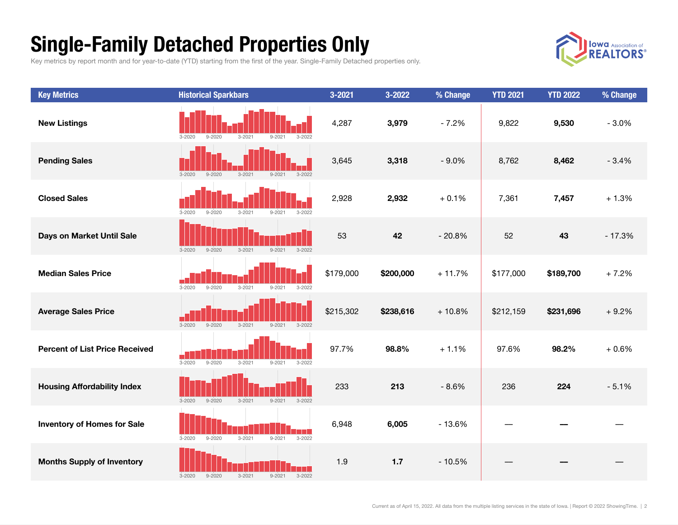## Single-Family Detached Properties Only

Key metrics by report month and for year-to-date (YTD) starting from the first of the year. Single-Family Detached properties only.



| <b>Key Metrics</b>                    | <b>Historical Sparkbars</b>                                                       | $3 - 2021$ | 3-2022    | % Change | <b>YTD 2021</b> | <b>YTD 2022</b> | % Change |
|---------------------------------------|-----------------------------------------------------------------------------------|------------|-----------|----------|-----------------|-----------------|----------|
| <b>New Listings</b>                   | $9 - 2020$<br>$3 - 2021$<br>$3 - 2022$<br>$3 - 2020$<br>$9 - 2021$                | 4,287      | 3,979     | $-7.2%$  | 9,822           | 9,530           | $-3.0%$  |
| <b>Pending Sales</b>                  | $3 - 2020$<br>$9 - 2020$<br>$3 - 2021$<br>$9 - 2021$<br>$3 - 2022$                | 3,645      | 3,318     | $-9.0%$  | 8,762           | 8,462           | $-3.4%$  |
| <b>Closed Sales</b>                   | $3 - 2020$<br>$9 - 2020$<br>$3 - 2021$<br>$9 - 2021$<br>$3 - 2022$                | 2,928      | 2,932     | $+0.1%$  | 7,361           | 7,457           | $+1.3%$  |
| Days on Market Until Sale             | $3 - 2021$<br>$3 - 2022$<br>$3 - 2020$<br>$9 - 2020$<br>$9 - 2021$                | 53         | 42        | $-20.8%$ | 52              | 43              | $-17.3%$ |
| <b>Median Sales Price</b>             | $3 - 2020$<br>$9 - 2020$<br>$3 - 2021$<br>$9 - 2021$<br>$3 - 2022$                | \$179,000  | \$200,000 | $+11.7%$ | \$177,000       | \$189,700       | $+7.2%$  |
| <b>Average Sales Price</b>            | $3 - 2021$<br>$3 - 2020$<br>$9 - 2020$<br>$9 - 2021$<br>$3 - 2022$                | \$215,302  | \$238,616 | $+10.8%$ | \$212,159       | \$231,696       | $+9.2%$  |
| <b>Percent of List Price Received</b> | $9 - 2020$<br>$3 - 2020$<br>$3 - 2021$<br>$9 - 2021$<br>$3 - 2022$                | 97.7%      | 98.8%     | $+1.1%$  | 97.6%           | 98.2%           | $+0.6%$  |
| <b>Housing Affordability Index</b>    | $9 - 2020$<br>$3 - 2021$<br>$3 - 2022$<br>$3 - 2020$<br>$9 - 2021$                | 233        | 213       | $-8.6%$  | 236             | 224             | $-5.1%$  |
| <b>Inventory of Homes for Sale</b>    | <b>TIME</b><br>$3 - 2020$<br>$9 - 2020$<br>$3 - 2021$<br>$9 - 2021$<br>$3 - 2022$ | 6,948      | 6,005     | $-13.6%$ |                 |                 |          |
| <b>Months Supply of Inventory</b>     | $9 - 2020$<br>$3 - 2021$<br>$9 - 2021$<br>$3 - 2022$<br>$3 - 2020$                | 1.9        | $1.7$     | $-10.5%$ |                 |                 |          |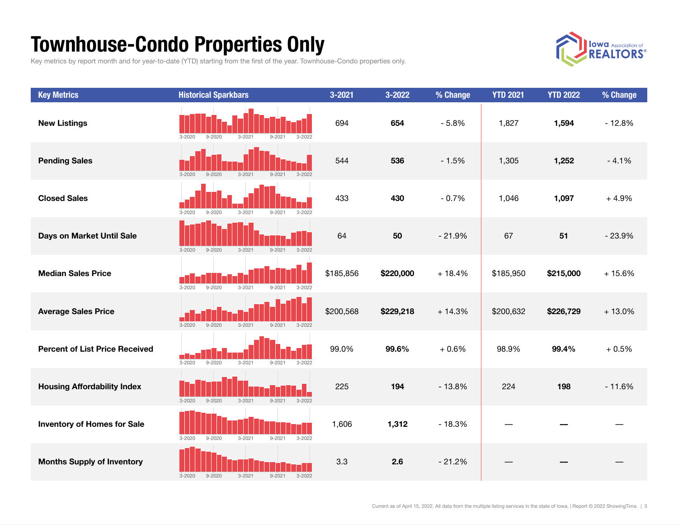## Townhouse-Condo Properties Only

Key metrics by report month and for year-to-date (YTD) starting from the first of the year. Townhouse-Condo properties only.



| <b>Key Metrics</b>                    | <b>Historical Sparkbars</b>                                        | 3-2021    | 3-2022    | % Change | <b>YTD 2021</b> | <b>YTD 2022</b> | % Change |
|---------------------------------------|--------------------------------------------------------------------|-----------|-----------|----------|-----------------|-----------------|----------|
| <b>New Listings</b>                   | $9 - 2020$<br>$3 - 2021$<br>$9 - 2021$<br>$3 - 2022$<br>$3 - 2020$ | 694       | 654       | $-5.8%$  | 1,827           | 1,594           | $-12.8%$ |
| <b>Pending Sales</b>                  | $3 - 2020$<br>$9 - 2020$<br>$3 - 2021$<br>$9 - 2021$<br>$3 - 2022$ | 544       | 536       | $-1.5%$  | 1,305           | 1,252           | $-4.1%$  |
| <b>Closed Sales</b>                   | $3 - 2020$<br>$9 - 2020$<br>$3 - 2021$<br>$9 - 2021$<br>$3 - 2022$ | 433       | 430       | $-0.7%$  | 1,046           | 1,097           | $+4.9%$  |
| Days on Market Until Sale             | $3 - 2022$<br>$3 - 2021$<br>$9 - 2021$<br>$3 - 2020$<br>$9 - 2020$ | 64        | 50        | $-21.9%$ | 67              | 51              | $-23.9%$ |
| <b>Median Sales Price</b>             | $3 - 2020$<br>$9 - 2020$<br>$3 - 2021$<br>$9 - 2021$<br>$3 - 2022$ | \$185,856 | \$220,000 | $+18.4%$ | \$185,950       | \$215,000       | $+15.6%$ |
| <b>Average Sales Price</b>            | $3 - 2020$<br>$9 - 2020$<br>$3 - 2021$<br>$9 - 2021$<br>$3 - 2022$ | \$200,568 | \$229,218 | $+14.3%$ | \$200,632       | \$226,729       | $+13.0%$ |
| <b>Percent of List Price Received</b> | $3 - 2020$<br>$9 - 2020$<br>$3 - 2021$<br>$9 - 2021$<br>$3 - 2022$ | 99.0%     | 99.6%     | $+0.6%$  | 98.9%           | 99.4%           | $+0.5%$  |
| <b>Housing Affordability Index</b>    | $3 - 2020$<br>$9 - 2020$<br>$3 - 2021$<br>$9 - 2021$<br>$3 - 2022$ | 225       | 194       | $-13.8%$ | 224             | 198             | $-11.6%$ |
| <b>Inventory of Homes for Sale</b>    | $3 - 2020$<br>$9 - 2020$<br>$3 - 2021$<br>$9 - 2021$<br>$3 - 2022$ | 1,606     | 1,312     | $-18.3%$ |                 |                 |          |
| <b>Months Supply of Inventory</b>     | $3 - 2020$<br>$9 - 2020$<br>$3 - 2021$<br>$9 - 2021$<br>$3 - 2022$ | 3.3       | 2.6       | $-21.2%$ |                 |                 |          |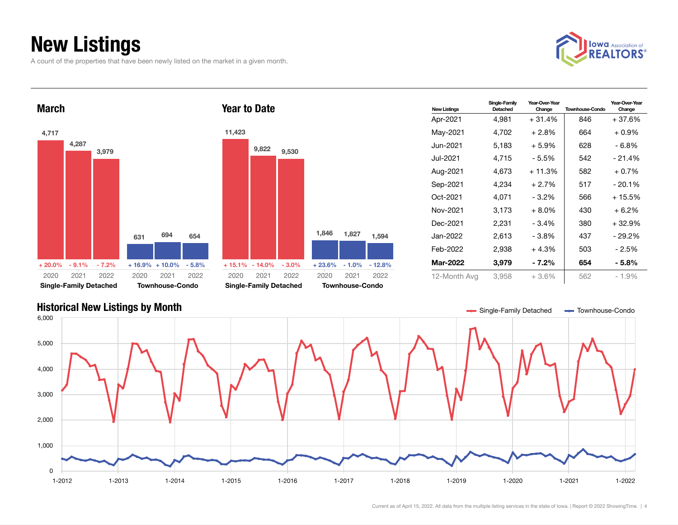## New Listings

A count of the properties that have been newly listed on the market in a given month.







| <b>New Listinas</b> | Single-Family<br>Detached | Year-Over-Year<br>Change | <b>Townhouse-Condo</b> | Year-Over-Year<br>Change |
|---------------------|---------------------------|--------------------------|------------------------|--------------------------|
| Apr-2021            | 4,981                     | $+31.4%$                 | 846                    | $+37.6%$                 |
| May-2021            | 4,702                     | $+2.8\%$                 | 664                    | $+0.9\%$                 |
| Jun-2021.           | 5,183                     | + 5.9%                   | 628                    | - 6.8%                   |
| Jul-2021.           | 4.715                     | - 5.5%                   | 542                    | $-21.4%$                 |
| Aug-2021            | 4.673                     | $+11.3%$                 | 582                    | $+0.7\%$                 |
| Sep-2021            | 4.234                     | $+2.7%$                  | 517                    | $-20.1%$                 |
| Oct-2021            | 4.071                     | $-3.2\%$                 | 566                    | $+15.5%$                 |
| Nov-2021            | 3,173                     | $+8.0\%$                 | 430                    | $+6.2%$                  |
| Dec-2021            | 2,231                     | $-3.4%$                  | 380                    | $+32.9%$                 |
| Jan-2022            | 2,613                     | - 3.8%                   | 437                    | - 29.2%                  |
| Feb-2022            | 2,938                     | $+4.3%$                  | 503                    | - 2.5%                   |
| <b>Mar-2022</b>     | 3,979                     | - 7.2%                   | 654                    | - 5.8%                   |
| 12-Month Avg        | 3,958                     | $+3.6\%$                 | 562                    | $-1.9\%$                 |

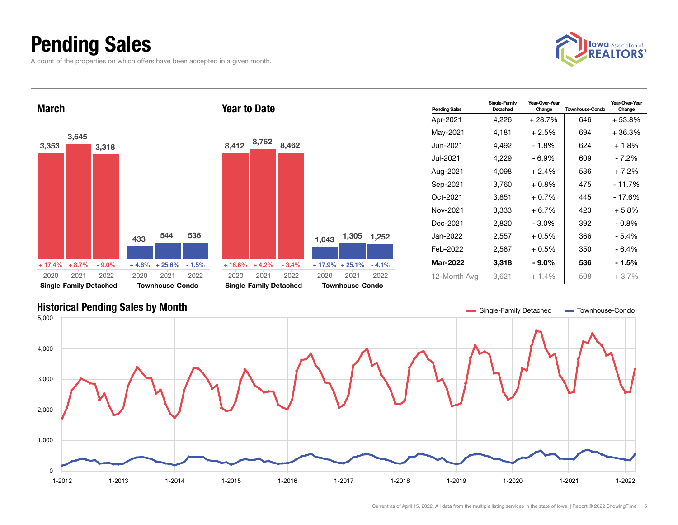## Pending Sales

A count of the properties on which offers have been accepted in a given month.





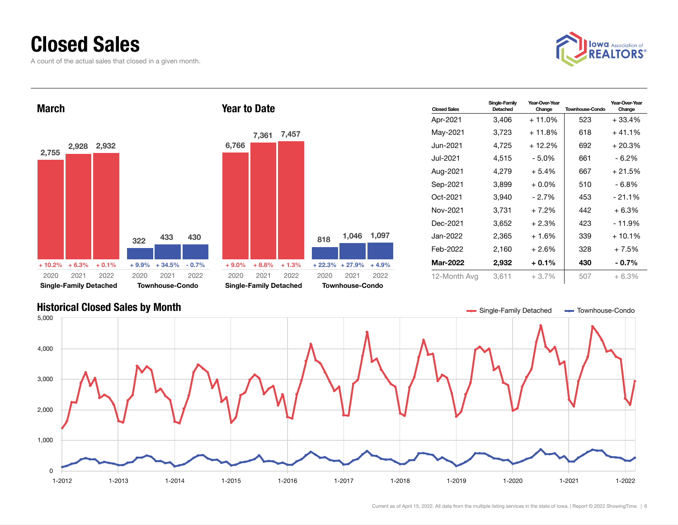### Closed Sales

A count of the actual sales that closed in a given month.





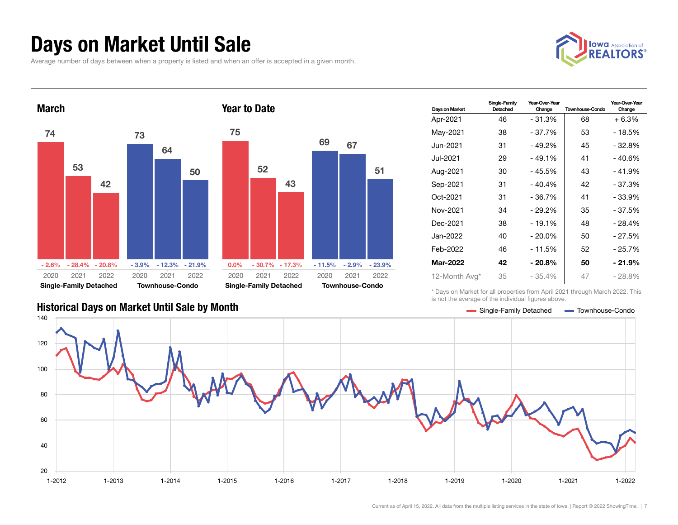#### Days on Market Until Sale

Average number of days between when a property is listed and when an offer is accepted in a given month.





| Days on Market | Single-Family<br>Detached | Year-Over-Year<br>Change | <b>Townhouse-Condo</b> | Year-Over-Year<br>Change |
|----------------|---------------------------|--------------------------|------------------------|--------------------------|
| Apr-2021       | 46                        | $-31.3%$                 | 68                     | $+6.3%$                  |
| May-2021       | 38                        | - 37.7%                  | 53                     | - 18.5%                  |
| Jun-2021.      | 31                        | $-49.2%$                 | 45                     | $-32.8%$                 |
| Jul-2021.      | 29                        | $-49.1%$                 | 41                     | - 40.6%                  |
| Aug-2021       | 30                        | - 45.5%                  | 43                     | $-41.9%$                 |
| Sep-2021       | 31                        | $-40.4%$                 | 42                     | $-37.3%$                 |
| Oct-2021       | 31                        | $-36.7%$                 | 41                     | - 33.9%                  |
| Nov-2021       | 34                        | $-29.2%$                 | 35                     | $-37.5%$                 |
| Dec-2021       | 38                        | $-19.1%$                 | 48                     | - 28.4%                  |
| Jan-2022       | 40                        | $-20.0%$                 | 50                     | - 27.5%                  |
| Feb-2022       | 46                        | $-11.5%$                 | 52                     | - 25.7%                  |
| Mar-2022       | 42                        | - 20.8%                  | 50                     | - 21.9%                  |
| 12-Month Avg*  | 35                        | $-35.4%$                 | 47                     | $-28.8%$                 |

\* Days on Market for all properties from April 2021 through March 2022. This is not the average of the individual figures above.



#### Historical Days on Market Until Sale by Month School School School School Single-Family Detached Townhouse-Condo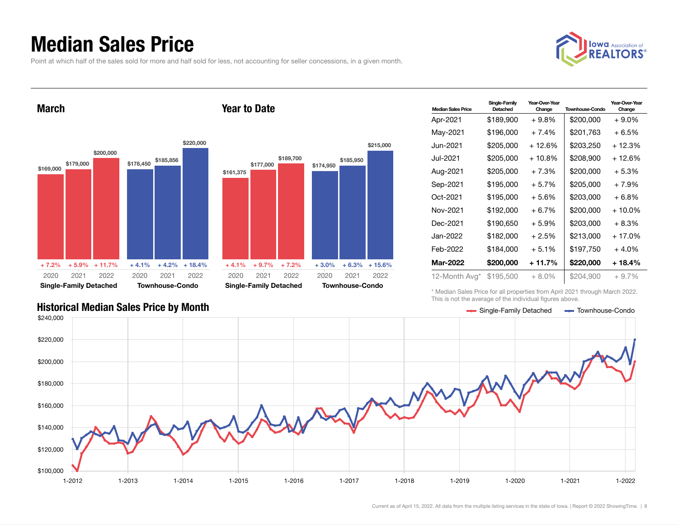#### Median Sales Price

Point at which half of the sales sold for more and half sold for less, not accounting for seller concessions, in a given month.



March







| <b>Median Sales Price</b> | Single-Family<br>Detached | Year-Over-Year<br>Change | <b>Townhouse-Condo</b> | Year-Over-Year<br>Change |
|---------------------------|---------------------------|--------------------------|------------------------|--------------------------|
| Apr-2021                  | \$189,900                 | $+9.8\%$                 | \$200.000              | $+9.0%$                  |
| May-2021                  | \$196,000                 | $+7.4%$                  | \$201.763              | $+6.5%$                  |
| Jun-2021.                 | \$205,000                 | + 12.6%                  | \$203,250              | + 12.3%                  |
| Jul-2021.                 | \$205,000                 | $+10.8\%$                | \$208,900              | + 12.6%                  |
| Aug-2021                  | \$205,000                 | $+7.3%$                  | \$200.000              | $+5.3%$                  |
| Sep-2021                  | \$195,000                 | $+5.7%$                  | \$205,000              | $+7.9%$                  |
| Oct-2021                  | \$195,000                 | $+5.6%$                  | \$203,000              | $+6.8\%$                 |
| Nov-2021                  | \$192,000                 | $+6.7\%$                 | \$200.000              | $+10.0\%$                |
| Dec-2021                  | \$190,650                 | $+5.9%$                  | \$203.000              | $+8.3%$                  |
| Jan-2022                  | \$182,000                 | $+2.5%$                  | \$213.000              | + 17.0%                  |
| Feb-2022                  | \$184,000                 | $+5.1%$                  | \$197,750              | $+4.0%$                  |
| <b>Mar-2022</b>           | \$200,000                 | + 11.7%                  | \$220,000              | + 18.4%                  |
| 12-Month Avg*             | \$195,500                 | $+8.0\%$                 | \$204,900              | $+9.7%$                  |

\* Median Sales Price for all properties from April 2021 through March 2022. This is not the average of the individual figures above.

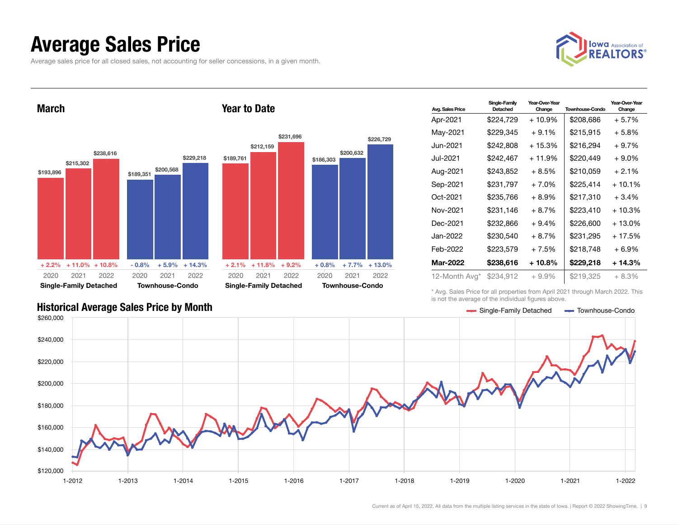#### Average Sales Price

Average sales price for all closed sales, not accounting for seller concessions, in a given month.





| <b>Avg. Sales Price</b> | Single-Family<br>Detached | Year-Over-Year<br>Change | <b>Townhouse-Condo</b> | Year-Over-Year<br>Change |
|-------------------------|---------------------------|--------------------------|------------------------|--------------------------|
| Apr-2021                | \$224,729                 | $+10.9\%$                | \$208,686              | $+5.7%$                  |
| May-2021                | \$229.345                 | $+9.1%$                  | \$215,915              | + 5.8%                   |
| Jun-2021 <b>.</b>       | \$242,808                 | $+15.3%$                 | \$216.294              | $+9.7%$                  |
| Jul-2021                | \$242,467                 | + 11.9%                  | \$220,449              | + 9.0%                   |
| Aug-2021                | \$243,852                 | $+8.5%$                  | \$210,059              | $+2.1%$                  |
| Sep-2021                | \$231,797                 | $+7.0%$                  | \$225,414              | $+10.1%$                 |
| Oct-2021                | \$235,766                 | $+8.9\%$                 | \$217,310              | $+3.4%$                  |
| Nov-2021                | \$231,146                 | $+8.7%$                  | \$223,410              | $+10.3%$                 |
| Dec-2021                | \$232,866                 | $+9.4%$                  | \$226,600              | + 13.0%                  |
| Jan-2022                | \$230,540                 | $+8.7%$                  | \$231,295              | + 17.5%                  |
| Feb-2022                | \$223,579                 | $+7.5%$                  | \$218,748              | + 6.9%                   |
| <b>Mar-2022</b>         | \$238,616                 | $+10.8%$                 | \$229,218              | + 14.3%                  |
| 12-Month Avg*           | \$234,912                 | $+9.9\%$                 | \$219,325              | $+8.3%$                  |

\* Avg. Sales Price for all properties from April 2021 through March 2022. This is not the average of the individual figures above.



\$226,729

2021 2022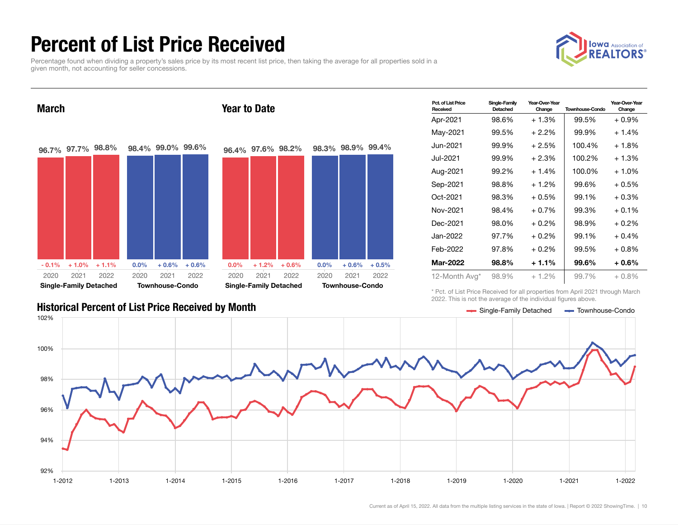## Percent of List Price Received

Percentage found when dividing a property's sales price by its most recent list price, then taking the average for all properties sold in a given month, not accounting for seller concessions.





| Pct. of List Price<br>Received | Single-Family<br>Detached | Year-Over-Year<br>Change | <b>Townhouse-Condo</b> | Year-Over-Year<br>Change |
|--------------------------------|---------------------------|--------------------------|------------------------|--------------------------|
| Apr-2021                       | 98.6%                     | $+1.3%$                  | 99.5%                  | $+0.9%$                  |
| May-2021                       | 99.5%                     | $+2.2\%$                 | 99.9%                  | $+1.4%$                  |
| Jun-2021.                      | 99.9%                     | $+2.5%$                  | 100.4%                 | $+1.8%$                  |
| Jul-2021.                      | 99.9%                     | $+2.3%$                  | 100.2%                 | $+1.3%$                  |
| Aug-2021                       | 99.2%                     | $+1.4%$                  | 100.0%                 | $+1.0%$                  |
| Sep-2021                       | 98.8%                     | $+1.2%$                  | 99.6%                  | $+0.5%$                  |
| Oct-2021                       | 98.3%                     | $+0.5%$                  | 99.1%                  | $+0.3%$                  |
| Nov-2021                       | 98.4%                     | $+0.7%$                  | 99.3%                  | $+0.1%$                  |
| Dec-2021                       | 98.0%                     | $+0.2\%$                 | 98.9%                  | $+0.2\%$                 |
| Jan-2022                       | 97.7%                     | $+0.2%$                  | 99.1%                  | $+0.4%$                  |
| Feb-2022                       | 97.8%                     | $+0.2\%$                 | 99.5%                  | $+0.8\%$                 |
| Mar-2022                       | 98.8%                     | $+1.1%$                  | 99.6%                  | $+0.6%$                  |
| 12-Month Avg*                  | 98.9%                     | $+1.2\%$                 | 99.7%                  | $+0.8\%$                 |

Historical Percent of List Price Received by Month Single-Family Detached Townhouse-Condo

\* Pct. of List Price Received for all properties from April 2021 through March 2022. This is not the average of the individual figures above.

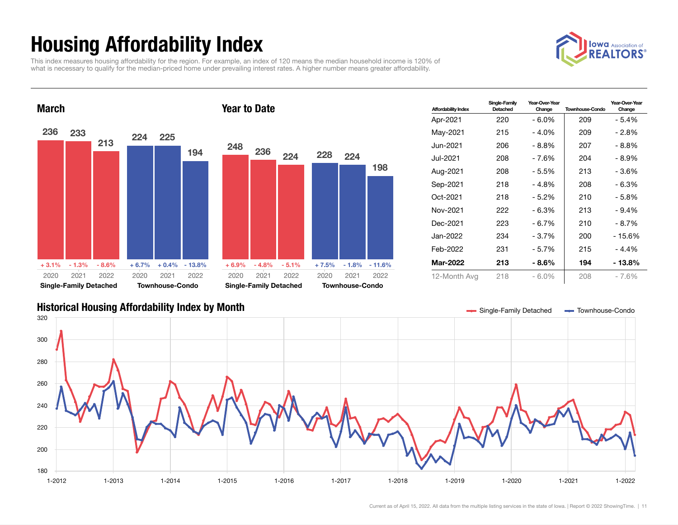## Housing Affordability Index

This index measures housing affordability for the region. For example, an index of 120 means the median household income is 120% of what is necessary to qualify for the median-priced home under prevailing interest rates. A higher number means greater affordability.





| <b>Affordability Index</b> | Single-Family<br>Detached | Year-Over-Year<br>Change | <b>Townhouse-Condo</b> | Year-Over-Year<br>Change |
|----------------------------|---------------------------|--------------------------|------------------------|--------------------------|
| Apr-2021                   | 220                       | $-6.0\%$                 | 209                    | $-5.4%$                  |
| May-2021                   | 215                       | $-4.0\%$                 | 209                    | - 2.8%                   |
| Jun-2021                   | 206                       | - 8.8%                   | 207                    | - 8.8%                   |
| Jul-2021.                  | 208                       | - 7.6%                   | 204                    | - 8.9%                   |
| Aug-2021                   | 208                       | - 5.5%                   | 213                    | - 3.6%                   |
| Sep-2021                   | 218                       | $-4.8%$                  | 208                    | $-6.3%$                  |
| Oct-2021                   | 218                       | - 5.2%                   | 210                    | - 5.8%                   |
| Nov-2021                   | 222                       | $-6.3%$                  | 213                    | $-9.4\%$                 |
| Dec-2021                   | 223                       | $-6.7%$                  | 210                    | - 8.7%                   |
| Jan-2022                   | 234                       | - 3.7%                   | 200                    | - 15.6%                  |
| Feb-2022                   | 231                       | $-5.7%$                  | 215                    | - 4.4%                   |
| Mar-2022                   | 213                       | - 8.6%                   | 194                    | - 13.8%                  |
| 12-Month Avg               | 218                       | - 6.0%                   | 208                    | $-7.6%$                  |

#### Historical Housing Affordability Index by Month Single-Family Detached Townhouse-Condo



198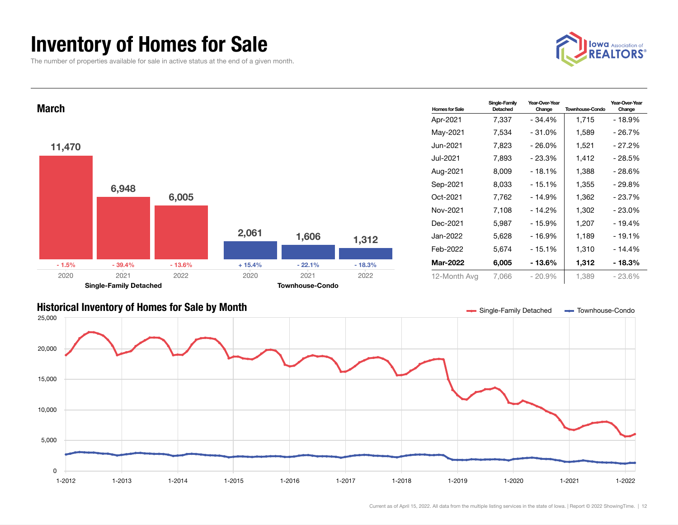### Inventory of Homes for Sale

The number of properties available for sale in active status at the end of a given month.



Year-Over-Year Change



#### Historical Inventory of Homes for Sale by Month State State State of State Single-Family Detached Townhouse-Condo

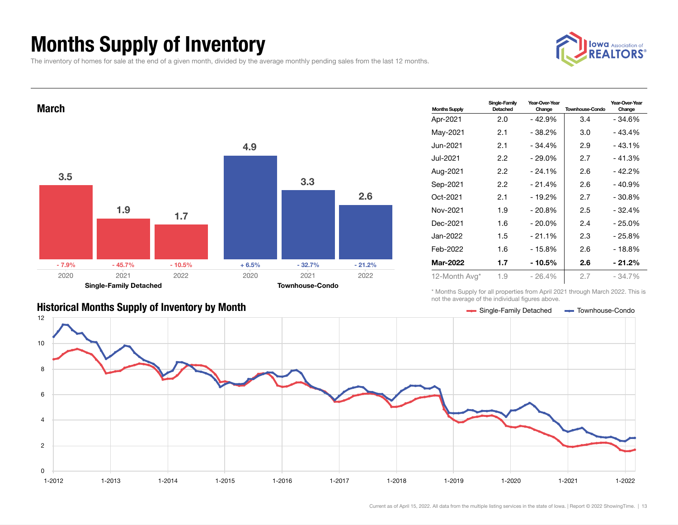## Months Supply of Inventory

The inventory of homes for sale at the end of a given month, divided by the average monthly pending sales from the last 12 months.





| <b>Months Supply</b> | Single-Family<br>Detached | Year-Over-Year<br>Change | <b>Townhouse-Condo</b> | Year-Over-Year<br>Change |
|----------------------|---------------------------|--------------------------|------------------------|--------------------------|
| Apr-2021             | 2.0                       | - 42.9%                  | 3.4                    | - 34.6%                  |
| May-2021             | 2.1                       | - 38.2%                  | 3.0                    | $-43.4%$                 |
| Jun-2021 <b>.</b>    | 2.1                       | $-34.4%$                 | 2.9                    | $-43.1%$                 |
| Jul-2021             | 2.2                       | $-29.0%$                 | 2.7                    | $-41.3%$                 |
| Aug-2021             | 2.2                       | $-24.1%$                 | 2.6                    | $-42.2%$                 |
| Sep-2021             | 2.2                       | $-21.4%$                 | 2.6                    | $-40.9%$                 |
| Oct-2021             | 2.1                       | - 19.2%                  | 2.7                    | $-30.8\%$                |
| Nov-2021             | 1.9                       | $-20.8%$                 | 2.5                    | $-32.4%$                 |
| Dec-2021             | 1.6                       | - 20.0%                  | 2.4                    | - 25.0%                  |
| Jan-2022.            | 1.5                       | $-21.1%$                 | 2.3                    | $-25.8\%$                |
| Feb-2022             | 1.6                       | - 15.8%                  | 2.6                    | - 18.8%                  |
| Mar-2022             | 1.7                       | - 10.5%                  | 2.6                    | - 21.2%                  |
| 12-Month Avg*        | 1.9                       | $-26.4%$                 | 2.7                    | $-34.7\%$                |

Historical Months Supply of Inventory by Month Supply Stephen Research Condomnisms of the Single-Family Detached Townhouse-Condomnisms

\* Months Supply for all properties from April 2021 through March 2022. This is not the average of the individual figures above.